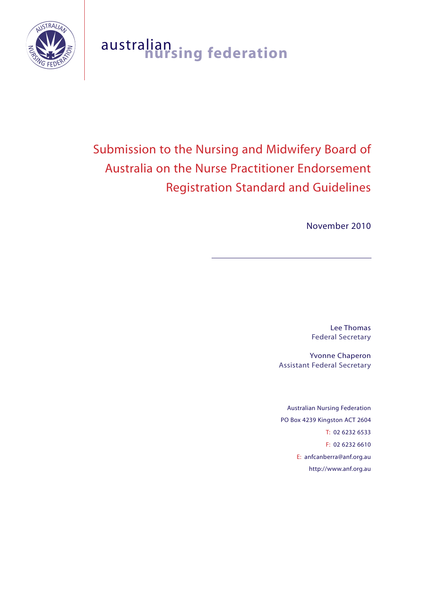

# australian **nursing federation**

# Submission to the Nursing and Midwifery Board of Australia on the Nurse Practitioner Endorsement Registration Standard and Guidelines

November 2010

Lee Thomas Federal Secretary

Yvonne Chaperon Assistant Federal Secretary

Australian Nursing Federation PO Box 4239 Kingston ACT 2604 T: 02 6232 6533 F: 02 6232 6610 E: anfcanberra@anf.org.au http://www.anf.org.au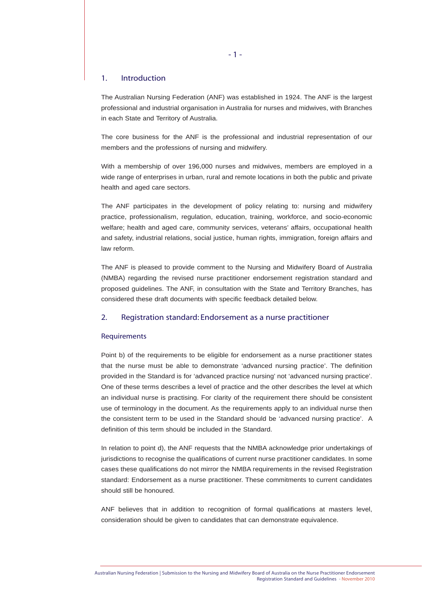# 1. Introduction

The Australian Nursing Federation (ANF) was established in 1924. The ANF is the largest professional and industrial organisation in Australia for nurses and midwives, with Branches in each State and Territory of Australia.

The core business for the ANF is the professional and industrial representation of our members and the professions of nursing and midwifery.

With a membership of over 196,000 nurses and midwives, members are employed in a wide range of enterprises in urban, rural and remote locations in both the public and private health and aged care sectors.

The ANF participates in the development of policy relating to: nursing and midwifery practice, professionalism, regulation, education, training, workforce, and socio-economic welfare; health and aged care, community services, veterans' affairs, occupational health and safety, industrial relations, social justice, human rights, immigration, foreign affairs and law reform.

The ANF is pleased to provide comment to the Nursing and Midwifery Board of Australia (NMBA) regarding the revised nurse practitioner endorsement registration standard and proposed guidelines. The ANF, in consultation with the State and Territory Branches, has considered these draft documents with specific feedback detailed below.

## 2. Registration standard: Endorsement as a nurse practitioner

#### Requirements

Point b) of the requirements to be eligible for endorsement as a nurse practitioner states that the nurse must be able to demonstrate 'advanced nursing practice'. The definition provided in the Standard is for 'advanced practice nursing' not 'advanced nursing practice'. One of these terms describes a level of practice and the other describes the level at which an individual nurse is practising. For clarity of the requirement there should be consistent use of terminology in the document. As the requirements apply to an individual nurse then the consistent term to be used in the Standard should be 'advanced nursing practice'. A definition of this term should be included in the Standard.

In relation to point d), the ANF requests that the NMBA acknowledge prior undertakings of jurisdictions to recognise the qualifications of current nurse practitioner candidates. In some cases these qualifications do not mirror the NMBA requirements in the revised Registration standard: Endorsement as a nurse practitioner. These commitments to current candidates should still be honoured.

ANF believes that in addition to recognition of formal qualifications at masters level, consideration should be given to candidates that can demonstrate equivalence.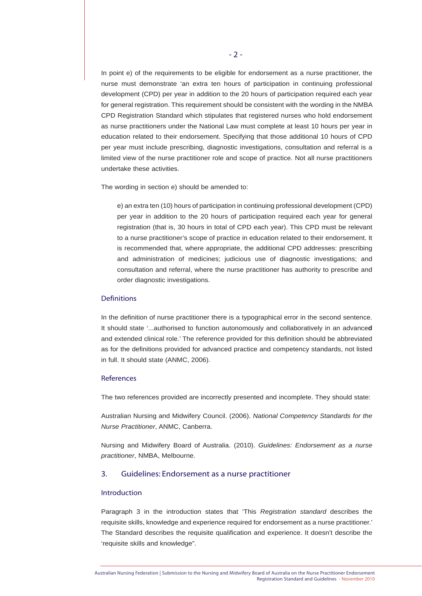In point e) of the requirements to be eligible for endorsement as a nurse practitioner, the nurse must demonstrate 'an extra ten hours of participation in continuing professional development (CPD) per year in addition to the 20 hours of participation required each year for general registration. This requirement should be consistent with the wording in the NMBA CPD Registration Standard which stipulates that registered nurses who hold endorsement as nurse practitioners under the National Law must complete at least 10 hours per year in education related to their endorsement. Specifying that those additional 10 hours of CPD per year must include prescribing, diagnostic investigations, consultation and referral is a limited view of the nurse practitioner role and scope of practice. Not all nurse practitioners undertake these activities.

The wording in section e) should be amended to:

e) an extra ten (10) hours of participation in continuing professional development (CPD) per year in addition to the 20 hours of participation required each year for general registration (that is, 30 hours in total of CPD each year). This CPD must be relevant to a nurse practitioner's scope of practice in education related to their endorsement. It is recommended that, where appropriate, the additional CPD addresses: prescribing and administration of medicines; judicious use of diagnostic investigations; and consultation and referral, where the nurse practitioner has authority to prescribe and order diagnostic investigations.

#### **Definitions**

In the definition of nurse practitioner there is a typographical error in the second sentence. It should state '...authorised to function autonomously and collaboratively in an advance**d** and extended clinical role.' The reference provided for this definition should be abbreviated as for the definitions provided for advanced practice and competency standards, not listed in full. It should state (ANMC, 2006).

#### **References**

The two references provided are incorrectly presented and incomplete. They should state:

Australian Nursing and Midwifery Council. (2006). *National Competency Standards for the Nurse Practitioner*, ANMC, Canberra.

Nursing and Midwifery Board of Australia. (2010). *Guidelines: Endorsement as a nurse practitioner*, NMBA, Melbourne.

#### 3. Guidelines: Endorsement as a nurse practitioner

#### Introduction

Paragraph 3 in the introduction states that 'This *Registration standard* describes the requisite skills, knowledge and experience required for endorsement as a nurse practitioner.' The Standard describes the requisite qualification and experience. It doesn't describe the 'requisite skills and knowledge".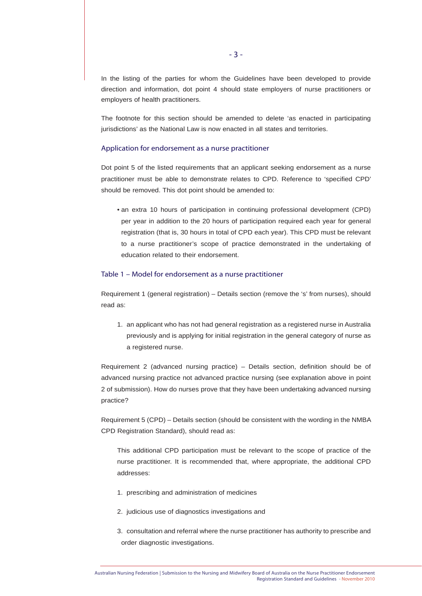In the listing of the parties for whom the Guidelines have been developed to provide direction and information, dot point 4 should state employers of nurse practitioners or employers of health practitioners.

The footnote for this section should be amended to delete 'as enacted in participating jurisdictions' as the National Law is now enacted in all states and territories.

#### Application for endorsement as a nurse practitioner

Dot point 5 of the listed requirements that an applicant seeking endorsement as a nurse practitioner must be able to demonstrate relates to CPD. Reference to 'specified CPD' should be removed. This dot point should be amended to:

• an extra 10 hours of participation in continuing professional development (CPD) per year in addition to the 20 hours of participation required each year for general registration (that is, 30 hours in total of CPD each year). This CPD must be relevant to a nurse practitioner's scope of practice demonstrated in the undertaking of education related to their endorsement.

#### Table 1 – Model for endorsement as a nurse practitioner

Requirement 1 (general registration) – Details section (remove the 's' from nurses), should read as:

1. an applicant who has not had general registration as a registered nurse in Australia previously and is applying for initial registration in the general category of nurse as a registered nurse.

Requirement 2 (advanced nursing practice) – Details section, definition should be of advanced nursing practice not advanced practice nursing (see explanation above in point 2 of submission). How do nurses prove that they have been undertaking advanced nursing practice?

Requirement 5 (CPD) – Details section (should be consistent with the wording in the NMBA CPD Registration Standard), should read as:

This additional CPD participation must be relevant to the scope of practice of the nurse practitioner. It is recommended that, where appropriate, the additional CPD addresses:

- 1. prescribing and administration of medicines
- 2. judicious use of diagnostics investigations and
- 3. consultation and referral where the nurse practitioner has authority to prescribe and order diagnostic investigations.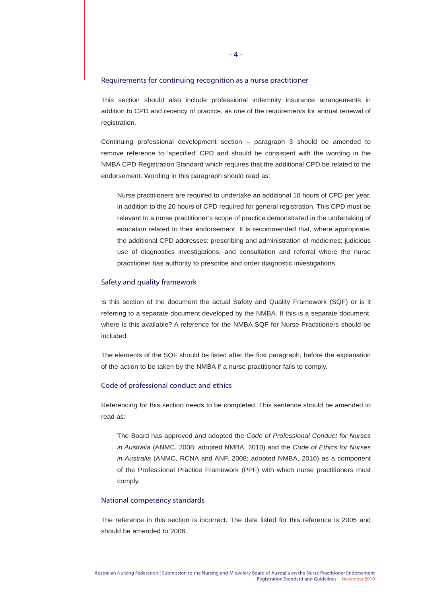#### Requirements for continuing recognition as a nurse practitioner

This section should also include professional indemnity insurance arrangements in addition to CPD and recency of practice, as one of the requirements for annual renewal of registration.

Continuing professional development section – paragraph 3 should be amended to remove reference to 'specified' CPD and should be consistent with the wording in the NMBA CPD Registration Standard which requires that the additional CPD be related to the endorsement. Wording in this paragraph should read as:

Nurse practitioners are required to undertake an additional 10 hours of CPD per year, in addition to the 20 hours of CPD required for general registration. This CPD must be relevant to a nurse practitioner's scope of practice demonstrated in the undertaking of education related to their endorsement. It is recommended that, where appropriate, the additional CPD addresses: prescribing and administration of medicines; judicious use of diagnostics investigations; and consultation and referral where the nurse practitioner has authority to prescribe and order diagnostic investigations.

#### Safety and quality framework

Is this section of the document the actual Safety and Quality Framework (SQF) or is it referring to a separate document developed by the NMBA. If this is a separate document, where is this available? A reference for the NMBA SQF for Nurse Practitioners should be included.

The elements of the SQF should be listed after the first paragraph, before the explanation of the action to be taken by the NMBA if a nurse practitioner fails to comply.

#### Code of professional conduct and ethics

Referencing for this section needs to be completed. This sentence should be amended to read as:

The Board has approved and adopted the *Code of Professional Conduct for Nurses in Australia* (ANMC, 2008; adopted NMBA, 2010) and the *Code of Ethics for Nurses in Australia* (ANMC, RCNA and ANF, 2008; adopted NMBA, 2010) as a component of the Professional Practice Framework (PPF) with which nurse practitioners must comply.

## National competency standards

The reference in this section is incorrect. The date listed for this reference is 2005 and should be amended to 2006.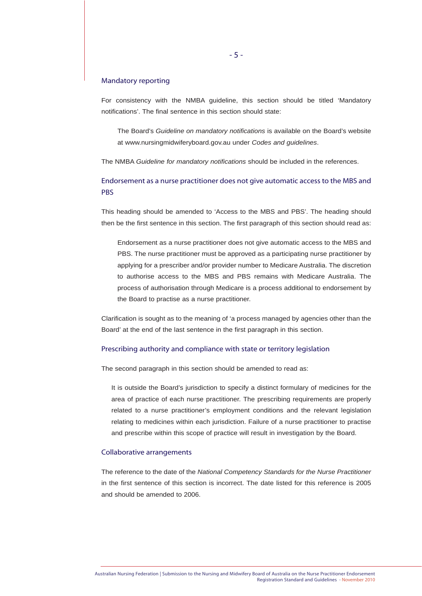# Mandatory reporting

For consistency with the NMBA guideline, this section should be titled 'Mandatory notifications'. The final sentence in this section should state:

The Board's *Guideline on mandatory notifications* is available on the Board's website at www.nursingmidwiferyboard.gov.au under *Codes and guidelines*.

The NMBA *Guideline for mandatory notifications* should be included in the references.

# Endorsement as a nurse practitioner does not give automatic access to the MBS and **PBS**

This heading should be amended to 'Access to the MBS and PBS'. The heading should then be the first sentence in this section. The first paragraph of this section should read as:

Endorsement as a nurse practitioner does not give automatic access to the MBS and PBS. The nurse practitioner must be approved as a participating nurse practitioner by applying for a prescriber and/or provider number to Medicare Australia. The discretion to authorise access to the MBS and PBS remains with Medicare Australia. The process of authorisation through Medicare is a process additional to endorsement by the Board to practise as a nurse practitioner.

Clarification is sought as to the meaning of 'a process managed by agencies other than the Board' at the end of the last sentence in the first paragraph in this section.

#### Prescribing authority and compliance with state or territory legislation

The second paragraph in this section should be amended to read as:

It is outside the Board's jurisdiction to specify a distinct formulary of medicines for the area of practice of each nurse practitioner. The prescribing requirements are properly related to a nurse practitioner's employment conditions and the relevant legislation relating to medicines within each jurisdiction. Failure of a nurse practitioner to practise and prescribe within this scope of practice will result in investigation by the Board.

#### Collaborative arrangements

The reference to the date of the *National Competency Standards for the Nurse Practitioner* in the first sentence of this section is incorrect. The date listed for this reference is 2005 and should be amended to 2006.